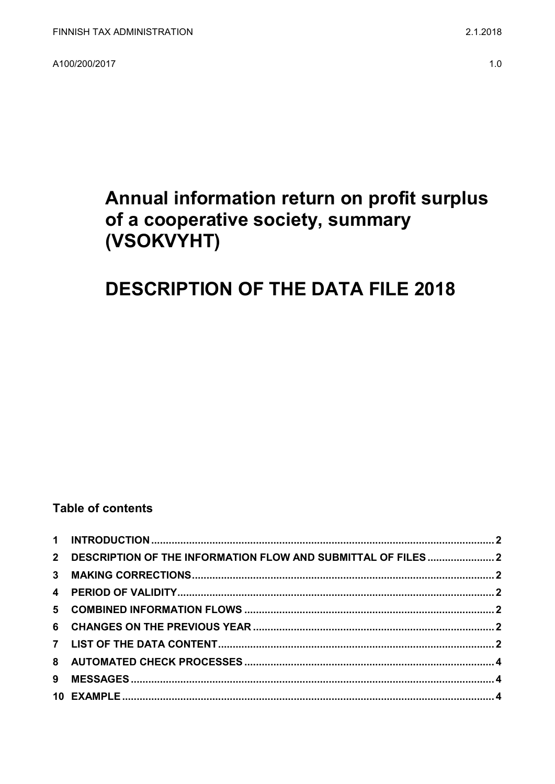A100/200/2017

# Annual information return on profit surplus of a cooperative society, summary (VSOKVYHT)

# **DESCRIPTION OF THE DATA FILE 2018**

### **Table of contents**

| 2 DESCRIPTION OF THE INFORMATION FLOW AND SUBMITTAL OF FILES2 |  |
|---------------------------------------------------------------|--|
|                                                               |  |
|                                                               |  |
|                                                               |  |
|                                                               |  |
|                                                               |  |
|                                                               |  |
|                                                               |  |
|                                                               |  |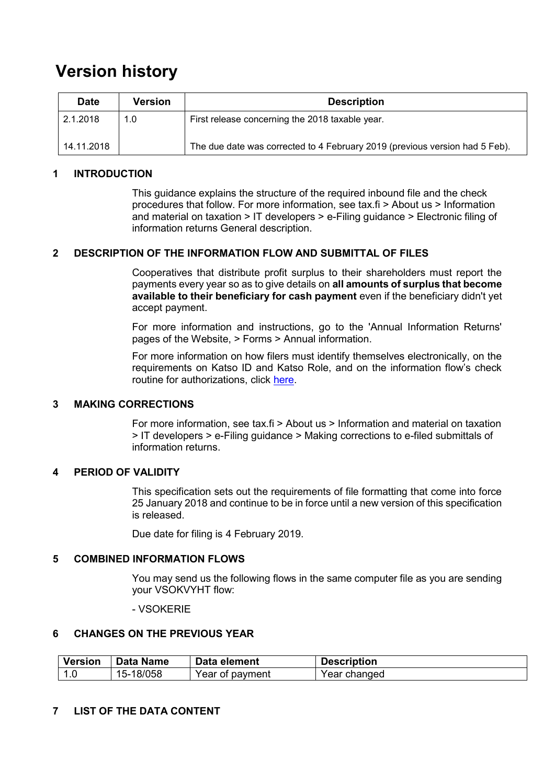### **Version history**

| <b>Date</b> | Version | <b>Description</b>                                                          |
|-------------|---------|-----------------------------------------------------------------------------|
| 2.1.2018    | 1.0     | First release concerning the 2018 taxable year.                             |
| 14.11.2018  |         | The due date was corrected to 4 February 2019 (previous version had 5 Feb). |

#### <span id="page-1-0"></span>**1 INTRODUCTION**

This guidance explains the structure of the required inbound file and the check procedures that follow. For more information, see tax.fi > About us > Information and material on taxation > IT developers > e-Filing guidance > Electronic filing of information returns General description.

#### <span id="page-1-1"></span>**2 DESCRIPTION OF THE INFORMATION FLOW AND SUBMITTAL OF FILES**

Cooperatives that distribute profit surplus to their shareholders must report the payments every year so as to give details on **all amounts of surplus that become available to their beneficiary for cash payment** even if the beneficiary didn't yet accept payment.

For more information and instructions, go to the 'Annual Information Returns' pages of the Website, > Forms > Annual information.

For more information on how filers must identify themselves electronically, on the requirements on Katso ID and Katso Role, and on the information flow's check routine for authorizations, click [here.](https://www.ilmoitin.fi/webtamo/sivut/IlmoituslajiRoolit?kieli=en&tv=VSOKVYHT)

#### <span id="page-1-2"></span>**3 MAKING CORRECTIONS**

For more information, see tax.fi > About us > Information and material on taxation > IT developers > e-Filing guidance > Making corrections to e-filed submittals of information returns.

#### <span id="page-1-3"></span>**4 PERIOD OF VALIDITY**

This specification sets out the requirements of file formatting that come into force 25 January 2018 and continue to be in force until a new version of this specification is released.

Due date for filing is 4 February 2019.

#### <span id="page-1-4"></span>**5 COMBINED INFORMATION FLOWS**

You may send us the following flows in the same computer file as you are sending your VSOKVYHT flow:

#### - VSOKERIE

#### <span id="page-1-5"></span>**6 CHANGES ON THE PREVIOUS YEAR**

| <b>Version</b>           | <b>Data Name</b> | Data element    | <b>Description</b> |
|--------------------------|------------------|-----------------|--------------------|
| $\overline{\phantom{a}}$ | 18/058<br>'5-    | Year of payment | Year changed       |

#### <span id="page-1-6"></span>**7 LIST OF THE DATA CONTENT**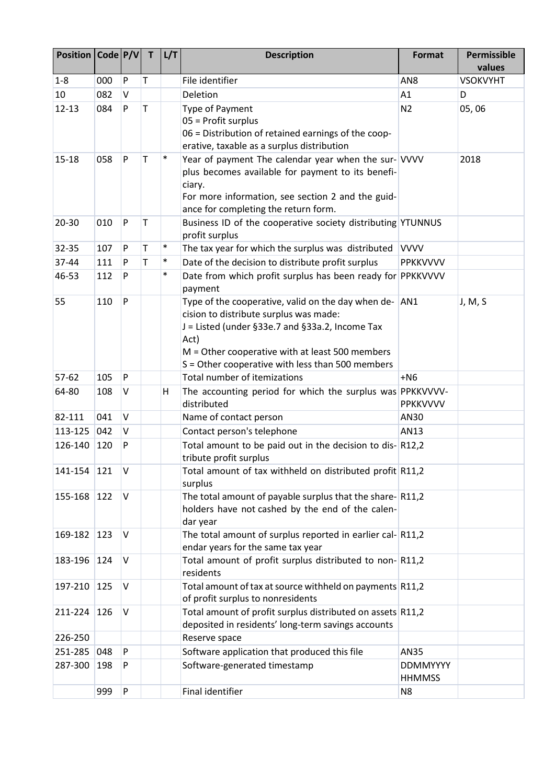| Position   Code   P/V |     |          | T | L/T    | <b>Description</b>                                                                                                                                                                                                                                                   | <b>Format</b>                    | <b>Permissible</b><br>values |
|-----------------------|-----|----------|---|--------|----------------------------------------------------------------------------------------------------------------------------------------------------------------------------------------------------------------------------------------------------------------------|----------------------------------|------------------------------|
| $1 - 8$               | 000 | P        | т |        | File identifier                                                                                                                                                                                                                                                      | AN8                              | <b>VSOKVYHT</b>              |
| 10                    | 082 | V        |   |        | Deletion                                                                                                                                                                                                                                                             | A1                               | D                            |
| $12 - 13$             | 084 | P        | T |        | <b>Type of Payment</b><br>05 = Profit surplus<br>06 = Distribution of retained earnings of the coop-<br>erative, taxable as a surplus distribution                                                                                                                   | N <sub>2</sub>                   | 05,06                        |
| $15 - 18$             | 058 | P        | Т | $\ast$ | Year of payment The calendar year when the sur- VVVV<br>plus becomes available for payment to its benefi-<br>ciary.<br>For more information, see section 2 and the guid-<br>ance for completing the return form.                                                     |                                  | 2018                         |
| 20-30                 | 010 | P        | T |        | Business ID of the cooperative society distributing YTUNNUS<br>profit surplus                                                                                                                                                                                        |                                  |                              |
| 32-35                 | 107 | P        | Τ | $\ast$ | The tax year for which the surplus was distributed                                                                                                                                                                                                                   | <b>VVVV</b>                      |                              |
| 37-44                 | 111 | P        | T | $\ast$ | Date of the decision to distribute profit surplus                                                                                                                                                                                                                    | <b>PPKKVVVV</b>                  |                              |
| 46-53                 | 112 | P        |   | $\ast$ | Date from which profit surplus has been ready for PPKKVVVV<br>payment                                                                                                                                                                                                |                                  |                              |
| 55                    | 110 | P        |   |        | Type of the cooperative, valid on the day when de- AN1<br>cision to distribute surplus was made:<br>J = Listed (under §33e.7 and §33a.2, Income Tax<br>Act)<br>$M =$ Other cooperative with at least 500 members<br>S = Other cooperative with less than 500 members |                                  | J, M, S                      |
| 57-62                 | 105 | P        |   |        | Total number of itemizations                                                                                                                                                                                                                                         | $+NG$                            |                              |
| 64-80                 | 108 | V        |   | н      | The accounting period for which the surplus was PPKKVVVV-<br>distributed                                                                                                                                                                                             | PPKKVVVV                         |                              |
| 82-111                | 041 | V        |   |        | Name of contact person                                                                                                                                                                                                                                               | AN30                             |                              |
| 113-125               | 042 | V        |   |        | Contact person's telephone                                                                                                                                                                                                                                           | AN13                             |                              |
| 126-140               | 120 | P        |   |        | Total amount to be paid out in the decision to dis-R12,2<br>tribute profit surplus                                                                                                                                                                                   |                                  |                              |
| 141-154               | 121 | V        |   |        | Total amount of tax withheld on distributed profit R11,2<br>surplus                                                                                                                                                                                                  |                                  |                              |
| 155-168               | 122 | <b>V</b> |   |        | The total amount of payable surplus that the share-R11,2<br>holders have not cashed by the end of the calen-<br>dar year                                                                                                                                             |                                  |                              |
| 169-182               | 123 | V        |   |        | The total amount of surplus reported in earlier cal-R11,2<br>endar years for the same tax year                                                                                                                                                                       |                                  |                              |
| 183-196               | 124 | V        |   |        | Total amount of profit surplus distributed to non-R11,2<br>residents                                                                                                                                                                                                 |                                  |                              |
| 197-210               | 125 | V        |   |        | Total amount of tax at source withheld on payments R11,2<br>of profit surplus to nonresidents                                                                                                                                                                        |                                  |                              |
| 211-224               | 126 | V        |   |        | Total amount of profit surplus distributed on assets R11,2                                                                                                                                                                                                           |                                  |                              |
|                       |     |          |   |        | deposited in residents' long-term savings accounts                                                                                                                                                                                                                   |                                  |                              |
| 226-250               |     |          |   |        | Reserve space                                                                                                                                                                                                                                                        |                                  |                              |
| 251-285               | 048 | P        |   |        | Software application that produced this file                                                                                                                                                                                                                         | AN35                             |                              |
| 287-300               | 198 | P        |   |        | Software-generated timestamp                                                                                                                                                                                                                                         | <b>DDMMYYYY</b><br><b>HHMMSS</b> |                              |
|                       | 999 | P        |   |        | Final identifier                                                                                                                                                                                                                                                     | N <sub>8</sub>                   |                              |